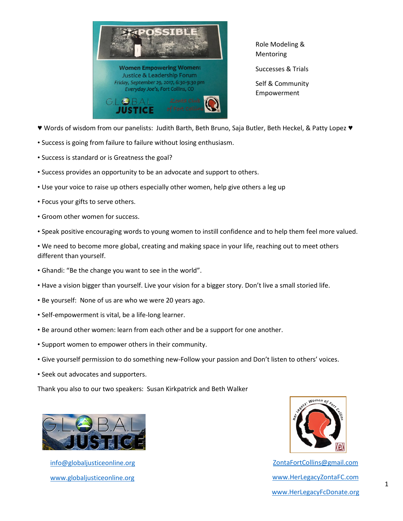

Role Modeling & Mentoring Successes & Trials

Self & Community Empowerment

- ♥ Words of wisdom from our panelists: Judith Barth, Beth Bruno, Saja Butler, Beth Heckel, & Patty Lopez ♥
- Success is going from failure to failure without losing enthusiasm.
- Success is standard or is Greatness the goal?
- Success provides an opportunity to be an advocate and support to others.
- Use your voice to raise up others especially other women, help give others a leg up
- Focus your gifts to serve others.
- Groom other women for success.
- Speak positive encouraging words to young women to instill confidence and to help them feel more valued.

• We need to become more global, creating and making space in your life, reaching out to meet others different than yourself.

- Ghandi: "Be the change you want to see in the world".
- Have a vision bigger than yourself. Live your vision for a bigger story. Don't live a small storied life.
- Be yourself: None of us are who we were 20 years ago.
- Self-empowerment is vital, be a life-long learner.
- Be around other women: learn from each other and be a support for one another.
- Support women to empower others in their community.
- Give yourself permission to do something new-Follow your passion and Don't listen to others' voices.
- Seek out advocates and supporters.

Thank you also to our two speakers: Susan Kirkpatrick and Beth Walker



[info@globaljusticeonline.org](mailto:info@globaljusticeonline.org) [www.globaljusticeonline.org](http://www.globaljusticeonline.org/)



[ZontaFortCollins@gmail.com](mailto:ZontaFortCollins@gmail.com) [www.HerLegacyZontaFC.com](http://www.herlegacyzontafc.com/) [www.HerLegacyFcDonate.org](http://www.herlegacyfcdonate.org/)